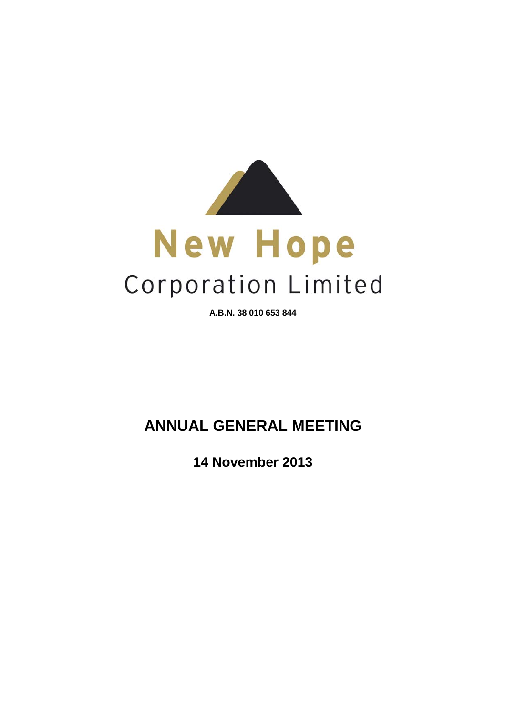

**A.B.N. 38 010 653 844**

# **ANNUAL GENERAL MEETING**

**14 November 2013**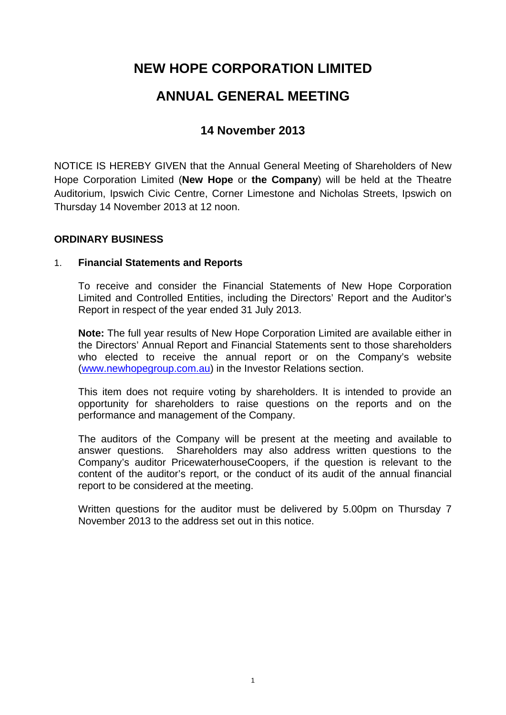# **NEW HOPE CORPORATION LIMITED**

# **ANNUAL GENERAL MEETING**

# **14 November 2013**

NOTICE IS HEREBY GIVEN that the Annual General Meeting of Shareholders of New Hope Corporation Limited (**New Hope** or **the Company**) will be held at the Theatre Auditorium, Ipswich Civic Centre, Corner Limestone and Nicholas Streets, Ipswich on Thursday 14 November 2013 at 12 noon.

# **ORDINARY BUSINESS**

# 1. **Financial Statements and Reports**

To receive and consider the Financial Statements of New Hope Corporation Limited and Controlled Entities, including the Directors' Report and the Auditor's Report in respect of the year ended 31 July 2013.

**Note:** The full year results of New Hope Corporation Limited are available either in the Directors' Annual Report and Financial Statements sent to those shareholders who elected to receive the annual report or on the Company's website (www.newhopegroup.com.au) in the Investor Relations section.

This item does not require voting by shareholders. It is intended to provide an opportunity for shareholders to raise questions on the reports and on the performance and management of the Company.

The auditors of the Company will be present at the meeting and available to answer questions. Shareholders may also address written questions to the Company's auditor PricewaterhouseCoopers, if the question is relevant to the content of the auditor's report, or the conduct of its audit of the annual financial report to be considered at the meeting.

Written questions for the auditor must be delivered by 5.00pm on Thursday 7 November 2013 to the address set out in this notice.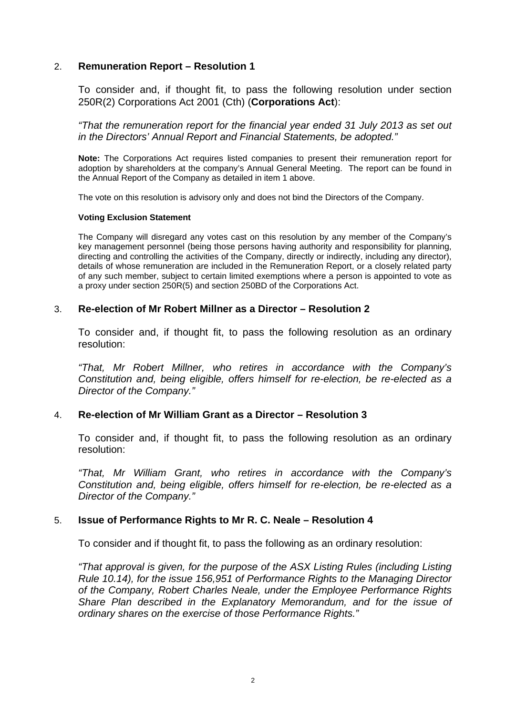## 2. **Remuneration Report – Resolution 1**

To consider and, if thought fit, to pass the following resolution under section 250R(2) Corporations Act 2001 (Cth) (**Corporations Act**):

*"That the remuneration report for the financial year ended 31 July 2013 as set out in the Directors' Annual Report and Financial Statements, be adopted."* 

**Note:** The Corporations Act requires listed companies to present their remuneration report for adoption by shareholders at the company's Annual General Meeting. The report can be found in the Annual Report of the Company as detailed in item 1 above.

The vote on this resolution is advisory only and does not bind the Directors of the Company.

## **Voting Exclusion Statement**

The Company will disregard any votes cast on this resolution by any member of the Company's key management personnel (being those persons having authority and responsibility for planning, directing and controlling the activities of the Company, directly or indirectly, including any director), details of whose remuneration are included in the Remuneration Report, or a closely related party of any such member, subject to certain limited exemptions where a person is appointed to vote as a proxy under section 250R(5) and section 250BD of the Corporations Act.

## 3. **Re-election of Mr Robert Millner as a Director – Resolution 2**

To consider and, if thought fit, to pass the following resolution as an ordinary resolution:

 *"That, Mr Robert Millner, who retires in accordance with the Company's Constitution and, being eligible, offers himself for re-election, be re-elected as a Director of the Company."* 

## 4. **Re-election of Mr William Grant as a Director – Resolution 3**

 To consider and, if thought fit, to pass the following resolution as an ordinary resolution:

 *"That, Mr William Grant, who retires in accordance with the Company's Constitution and, being eligible, offers himself for re-election, be re-elected as a Director of the Company."* 

## 5. **Issue of Performance Rights to Mr R. C. Neale – Resolution 4**

To consider and if thought fit, to pass the following as an ordinary resolution:

*"That approval is given, for the purpose of the ASX Listing Rules (including Listing Rule 10.14), for the issue 156,951 of Performance Rights to the Managing Director of the Company, Robert Charles Neale, under the Employee Performance Rights Share Plan described in the Explanatory Memorandum, and for the issue of ordinary shares on the exercise of those Performance Rights."*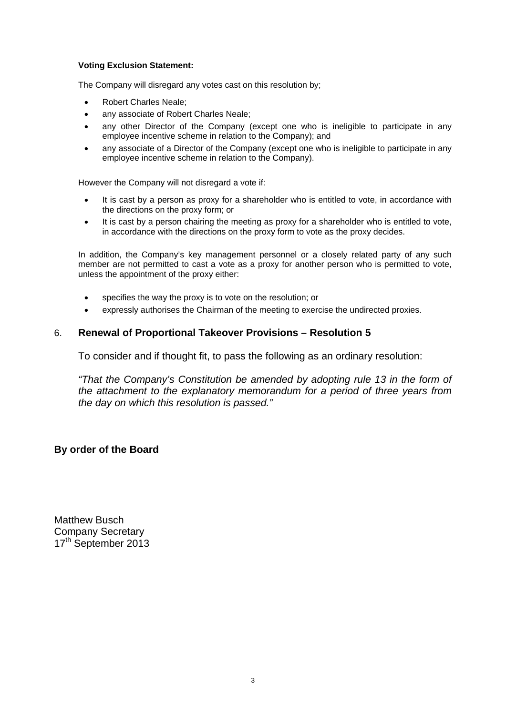## **Voting Exclusion Statement:**

The Company will disregard any votes cast on this resolution by;

- Robert Charles Neale;
- any associate of Robert Charles Neale;
- any other Director of the Company (except one who is ineligible to participate in any employee incentive scheme in relation to the Company); and
- any associate of a Director of the Company (except one who is ineligible to participate in any employee incentive scheme in relation to the Company).

However the Company will not disregard a vote if:

- It is cast by a person as proxy for a shareholder who is entitled to vote, in accordance with the directions on the proxy form; or
- It is cast by a person chairing the meeting as proxy for a shareholder who is entitled to vote, in accordance with the directions on the proxy form to vote as the proxy decides.

In addition, the Company's key management personnel or a closely related party of any such member are not permitted to cast a vote as a proxy for another person who is permitted to vote, unless the appointment of the proxy either:

- specifies the way the proxy is to vote on the resolution; or
- expressly authorises the Chairman of the meeting to exercise the undirected proxies.

## 6. **Renewal of Proportional Takeover Provisions – Resolution 5**

To consider and if thought fit, to pass the following as an ordinary resolution:

*"That the Company's Constitution be amended by adopting rule 13 in the form of the attachment to the explanatory memorandum for a period of three years from the day on which this resolution is passed."* 

## **By order of the Board**

Matthew Busch Company Secretary 17<sup>th</sup> September 2013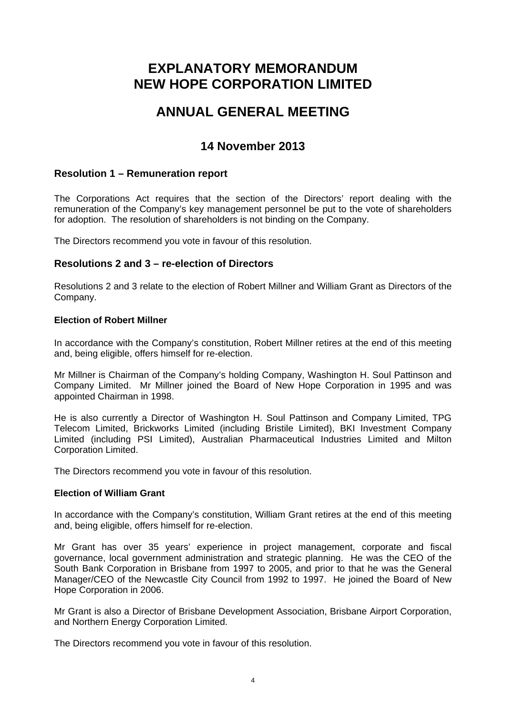# **EXPLANATORY MEMORANDUM NEW HOPE CORPORATION LIMITED**

# **ANNUAL GENERAL MEETING**

# **14 November 2013**

# **Resolution 1 – Remuneration report**

The Corporations Act requires that the section of the Directors' report dealing with the remuneration of the Company's key management personnel be put to the vote of shareholders for adoption. The resolution of shareholders is not binding on the Company.

The Directors recommend you vote in favour of this resolution.

## **Resolutions 2 and 3 – re-election of Directors**

Resolutions 2 and 3 relate to the election of Robert Millner and William Grant as Directors of the Company.

## **Election of Robert Millner**

In accordance with the Company's constitution, Robert Millner retires at the end of this meeting and, being eligible, offers himself for re-election.

Mr Millner is Chairman of the Company's holding Company, Washington H. Soul Pattinson and Company Limited. Mr Millner joined the Board of New Hope Corporation in 1995 and was appointed Chairman in 1998.

He is also currently a Director of Washington H. Soul Pattinson and Company Limited, TPG Telecom Limited, Brickworks Limited (including Bristile Limited), BKI Investment Company Limited (including PSI Limited), Australian Pharmaceutical Industries Limited and Milton Corporation Limited.

The Directors recommend you vote in favour of this resolution.

## **Election of William Grant**

In accordance with the Company's constitution, William Grant retires at the end of this meeting and, being eligible, offers himself for re-election.

Mr Grant has over 35 years' experience in project management, corporate and fiscal governance, local government administration and strategic planning. He was the CEO of the South Bank Corporation in Brisbane from 1997 to 2005, and prior to that he was the General Manager/CEO of the Newcastle City Council from 1992 to 1997. He joined the Board of New Hope Corporation in 2006.

Mr Grant is also a Director of Brisbane Development Association, Brisbane Airport Corporation, and Northern Energy Corporation Limited.

The Directors recommend you vote in favour of this resolution.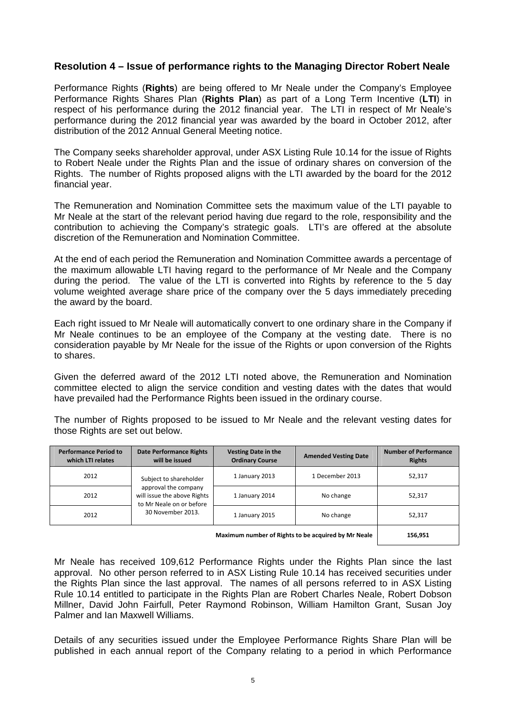# **Resolution 4 – Issue of performance rights to the Managing Director Robert Neale**

Performance Rights (**Rights**) are being offered to Mr Neale under the Company's Employee Performance Rights Shares Plan (**Rights Plan**) as part of a Long Term Incentive (**LTI**) in respect of his performance during the 2012 financial year. The LTI in respect of Mr Neale's performance during the 2012 financial year was awarded by the board in October 2012, after distribution of the 2012 Annual General Meeting notice.

The Company seeks shareholder approval, under ASX Listing Rule 10.14 for the issue of Rights to Robert Neale under the Rights Plan and the issue of ordinary shares on conversion of the Rights. The number of Rights proposed aligns with the LTI awarded by the board for the 2012 financial year.

The Remuneration and Nomination Committee sets the maximum value of the LTI payable to Mr Neale at the start of the relevant period having due regard to the role, responsibility and the contribution to achieving the Company's strategic goals. LTI's are offered at the absolute discretion of the Remuneration and Nomination Committee.

At the end of each period the Remuneration and Nomination Committee awards a percentage of the maximum allowable LTI having regard to the performance of Mr Neale and the Company during the period. The value of the LTI is converted into Rights by reference to the 5 day volume weighted average share price of the company over the 5 days immediately preceding the award by the board.

Each right issued to Mr Neale will automatically convert to one ordinary share in the Company if Mr Neale continues to be an employee of the Company at the vesting date. There is no consideration payable by Mr Neale for the issue of the Rights or upon conversion of the Rights to shares.

Given the deferred award of the 2012 LTI noted above, the Remuneration and Nomination committee elected to align the service condition and vesting dates with the dates that would have prevailed had the Performance Rights been issued in the ordinary course.

The number of Rights proposed to be issued to Mr Neale and the relevant vesting dates for those Rights are set out below.

| <b>Performance Period to</b><br>which LTI relates   | <b>Date Performance Rights</b><br>will be issued                                                                               | <b>Vesting Date in the</b><br><b>Ordinary Course</b> | <b>Amended Vesting Date</b> | <b>Number of Performance</b><br><b>Rights</b> |
|-----------------------------------------------------|--------------------------------------------------------------------------------------------------------------------------------|------------------------------------------------------|-----------------------------|-----------------------------------------------|
| 2012                                                | Subject to shareholder<br>approval the company<br>will issue the above Rights<br>to Mr Neale on or before<br>30 November 2013. | 1 January 2013                                       | 1 December 2013             | 52,317                                        |
| 2012                                                |                                                                                                                                | 1 January 2014                                       | No change                   | 52,317                                        |
| 2012                                                |                                                                                                                                | 1 January 2015                                       | No change                   | 52.317                                        |
| Maximum number of Rights to be acquired by Mr Neale |                                                                                                                                |                                                      | 156,951                     |                                               |

Mr Neale has received 109,612 Performance Rights under the Rights Plan since the last approval. No other person referred to in ASX Listing Rule 10.14 has received securities under the Rights Plan since the last approval. The names of all persons referred to in ASX Listing Rule 10.14 entitled to participate in the Rights Plan are Robert Charles Neale, Robert Dobson Millner, David John Fairfull, Peter Raymond Robinson, William Hamilton Grant, Susan Joy Palmer and Ian Maxwell Williams.

Details of any securities issued under the Employee Performance Rights Share Plan will be published in each annual report of the Company relating to a period in which Performance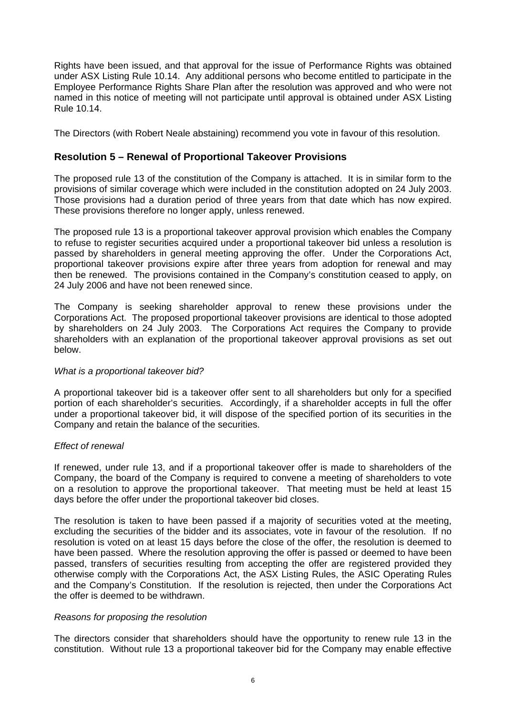Rights have been issued, and that approval for the issue of Performance Rights was obtained under ASX Listing Rule 10.14. Any additional persons who become entitled to participate in the Employee Performance Rights Share Plan after the resolution was approved and who were not named in this notice of meeting will not participate until approval is obtained under ASX Listing Rule 10.14.

The Directors (with Robert Neale abstaining) recommend you vote in favour of this resolution.

# **Resolution 5 – Renewal of Proportional Takeover Provisions**

The proposed rule 13 of the constitution of the Company is attached. It is in similar form to the provisions of similar coverage which were included in the constitution adopted on 24 July 2003. Those provisions had a duration period of three years from that date which has now expired. These provisions therefore no longer apply, unless renewed.

The proposed rule 13 is a proportional takeover approval provision which enables the Company to refuse to register securities acquired under a proportional takeover bid unless a resolution is passed by shareholders in general meeting approving the offer. Under the Corporations Act, proportional takeover provisions expire after three years from adoption for renewal and may then be renewed. The provisions contained in the Company's constitution ceased to apply, on 24 July 2006 and have not been renewed since.

The Company is seeking shareholder approval to renew these provisions under the Corporations Act. The proposed proportional takeover provisions are identical to those adopted by shareholders on 24 July 2003. The Corporations Act requires the Company to provide shareholders with an explanation of the proportional takeover approval provisions as set out below.

## *What is a proportional takeover bid?*

A proportional takeover bid is a takeover offer sent to all shareholders but only for a specified portion of each shareholder's securities. Accordingly, if a shareholder accepts in full the offer under a proportional takeover bid, it will dispose of the specified portion of its securities in the Company and retain the balance of the securities.

## *Effect of renewal*

If renewed, under rule 13, and if a proportional takeover offer is made to shareholders of the Company, the board of the Company is required to convene a meeting of shareholders to vote on a resolution to approve the proportional takeover. That meeting must be held at least 15 days before the offer under the proportional takeover bid closes.

The resolution is taken to have been passed if a majority of securities voted at the meeting, excluding the securities of the bidder and its associates, vote in favour of the resolution. If no resolution is voted on at least 15 days before the close of the offer, the resolution is deemed to have been passed. Where the resolution approving the offer is passed or deemed to have been passed, transfers of securities resulting from accepting the offer are registered provided they otherwise comply with the Corporations Act, the ASX Listing Rules, the ASIC Operating Rules and the Company's Constitution. If the resolution is rejected, then under the Corporations Act the offer is deemed to be withdrawn.

## *Reasons for proposing the resolution*

The directors consider that shareholders should have the opportunity to renew rule 13 in the constitution. Without rule 13 a proportional takeover bid for the Company may enable effective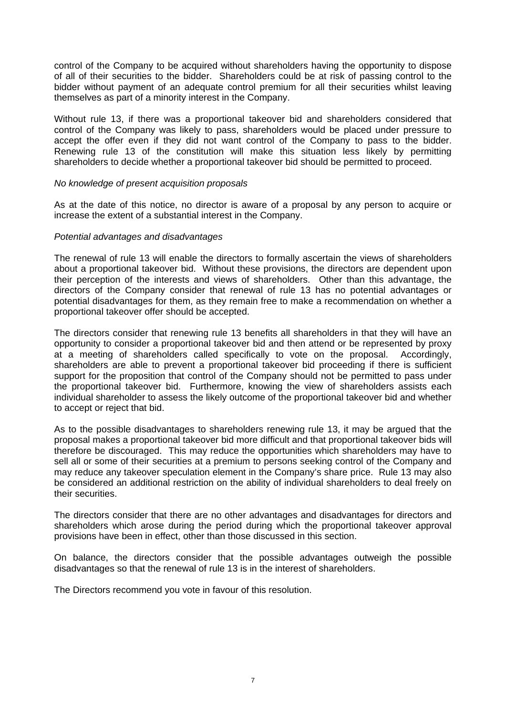control of the Company to be acquired without shareholders having the opportunity to dispose of all of their securities to the bidder. Shareholders could be at risk of passing control to the bidder without payment of an adequate control premium for all their securities whilst leaving themselves as part of a minority interest in the Company.

Without rule 13, if there was a proportional takeover bid and shareholders considered that control of the Company was likely to pass, shareholders would be placed under pressure to accept the offer even if they did not want control of the Company to pass to the bidder. Renewing rule 13 of the constitution will make this situation less likely by permitting shareholders to decide whether a proportional takeover bid should be permitted to proceed.

## *No knowledge of present acquisition proposals*

As at the date of this notice, no director is aware of a proposal by any person to acquire or increase the extent of a substantial interest in the Company.

## *Potential advantages and disadvantages*

The renewal of rule 13 will enable the directors to formally ascertain the views of shareholders about a proportional takeover bid. Without these provisions, the directors are dependent upon their perception of the interests and views of shareholders. Other than this advantage, the directors of the Company consider that renewal of rule 13 has no potential advantages or potential disadvantages for them, as they remain free to make a recommendation on whether a proportional takeover offer should be accepted.

The directors consider that renewing rule 13 benefits all shareholders in that they will have an opportunity to consider a proportional takeover bid and then attend or be represented by proxy at a meeting of shareholders called specifically to vote on the proposal. Accordingly, shareholders are able to prevent a proportional takeover bid proceeding if there is sufficient support for the proposition that control of the Company should not be permitted to pass under the proportional takeover bid. Furthermore, knowing the view of shareholders assists each individual shareholder to assess the likely outcome of the proportional takeover bid and whether to accept or reject that bid.

As to the possible disadvantages to shareholders renewing rule 13, it may be argued that the proposal makes a proportional takeover bid more difficult and that proportional takeover bids will therefore be discouraged. This may reduce the opportunities which shareholders may have to sell all or some of their securities at a premium to persons seeking control of the Company and may reduce any takeover speculation element in the Company's share price. Rule 13 may also be considered an additional restriction on the ability of individual shareholders to deal freely on their securities.

The directors consider that there are no other advantages and disadvantages for directors and shareholders which arose during the period during which the proportional takeover approval provisions have been in effect, other than those discussed in this section.

On balance, the directors consider that the possible advantages outweigh the possible disadvantages so that the renewal of rule 13 is in the interest of shareholders.

The Directors recommend you vote in favour of this resolution.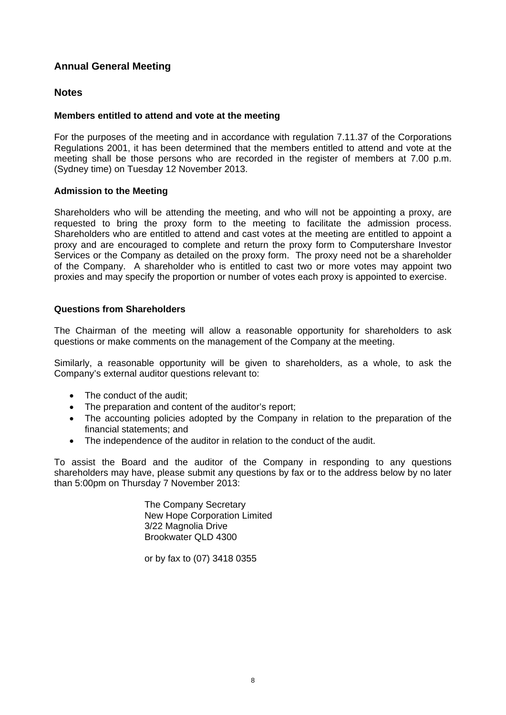# **Annual General Meeting**

## **Notes**

## **Members entitled to attend and vote at the meeting**

For the purposes of the meeting and in accordance with regulation 7.11.37 of the Corporations Regulations 2001, it has been determined that the members entitled to attend and vote at the meeting shall be those persons who are recorded in the register of members at 7.00 p.m. (Sydney time) on Tuesday 12 November 2013.

## **Admission to the Meeting**

Shareholders who will be attending the meeting, and who will not be appointing a proxy, are requested to bring the proxy form to the meeting to facilitate the admission process. Shareholders who are entitled to attend and cast votes at the meeting are entitled to appoint a proxy and are encouraged to complete and return the proxy form to Computershare Investor Services or the Company as detailed on the proxy form. The proxy need not be a shareholder of the Company. A shareholder who is entitled to cast two or more votes may appoint two proxies and may specify the proportion or number of votes each proxy is appointed to exercise.

## **Questions from Shareholders**

The Chairman of the meeting will allow a reasonable opportunity for shareholders to ask questions or make comments on the management of the Company at the meeting.

Similarly, a reasonable opportunity will be given to shareholders, as a whole, to ask the Company's external auditor questions relevant to:

- The conduct of the audit:
- The preparation and content of the auditor's report;
- The accounting policies adopted by the Company in relation to the preparation of the financial statements; and
- The independence of the auditor in relation to the conduct of the audit.

To assist the Board and the auditor of the Company in responding to any questions shareholders may have, please submit any questions by fax or to the address below by no later than 5:00pm on Thursday 7 November 2013:

> The Company Secretary New Hope Corporation Limited 3/22 Magnolia Drive Brookwater QLD 4300

or by fax to (07) 3418 0355